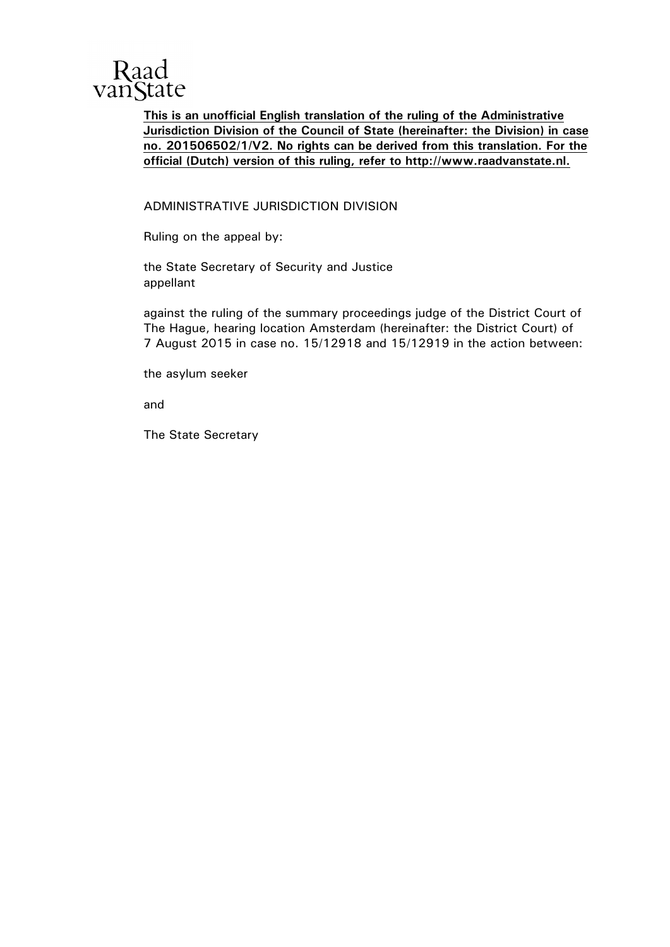

**This is an unofficial English translation of the ruling of the Administrative Jurisdiction Division of the Council of State (hereinafter: the Division) in case no. 201506502/1/V2. No rights can be derived from this translation. For the official (Dutch) version of this ruling, refer to http://www.raadvanstate.nl.** 

ADMINISTRATIVE JURISDICTION DIVISION

Ruling on the appeal by:

the State Secretary of Security and Justice appellant

against the ruling of the summary proceedings judge of the District Court of The Hague, hearing location Amsterdam (hereinafter: the District Court) of 7 August 2015 in case no. 15/12918 and 15/12919 in the action between:

the asylum seeker

and

The State Secretary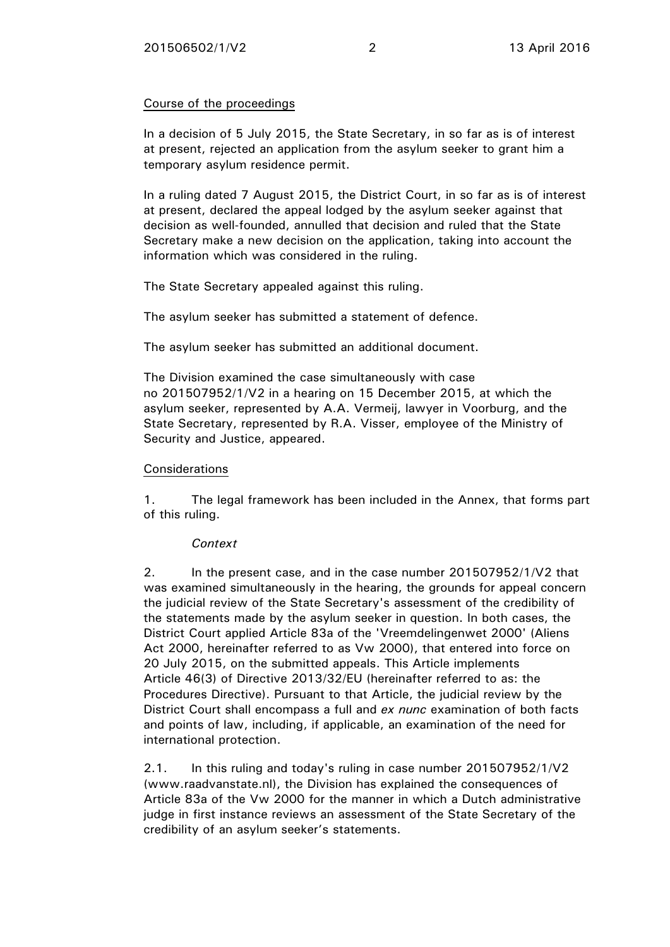### Course of the proceedings

In a decision of 5 July 2015, the State Secretary, in so far as is of interest at present, rejected an application from the asylum seeker to grant him a temporary asylum residence permit.

In a ruling dated 7 August 2015, the District Court, in so far as is of interest at present, declared the appeal lodged by the asylum seeker against that decision as well-founded, annulled that decision and ruled that the State Secretary make a new decision on the application, taking into account the information which was considered in the ruling.

The State Secretary appealed against this ruling.

The asylum seeker has submitted a statement of defence.

The asylum seeker has submitted an additional document.

The Division examined the case simultaneously with case no 201507952/1/V2 in a hearing on 15 December 2015, at which the asylum seeker, represented by A.A. Vermeij, lawyer in Voorburg, and the State Secretary, represented by R.A. Visser, employee of the Ministry of Security and Justice, appeared.

#### Considerations

1. The legal framework has been included in the Annex, that forms part of this ruling.

#### *Context*

2. In the present case, and in the case number 201507952/1/V2 that was examined simultaneously in the hearing, the grounds for appeal concern the judicial review of the State Secretary's assessment of the credibility of the statements made by the asylum seeker in question. In both cases, the District Court applied Article 83a of the 'Vreemdelingenwet 2000' (Aliens Act 2000, hereinafter referred to as Vw 2000), that entered into force on 20 July 2015, on the submitted appeals. This Article implements Article 46(3) of Directive 2013/32/EU (hereinafter referred to as: the Procedures Directive). Pursuant to that Article, the judicial review by the District Court shall encompass a full and *ex nunc* examination of both facts and points of law, including, if applicable, an examination of the need for international protection.

2.1. In this ruling and today's ruling in case number 201507952/1/V2 (www.raadvanstate.nl), the Division has explained the consequences of Article 83a of the Vw 2000 for the manner in which a Dutch administrative judge in first instance reviews an assessment of the State Secretary of the credibility of an asylum seeker's statements.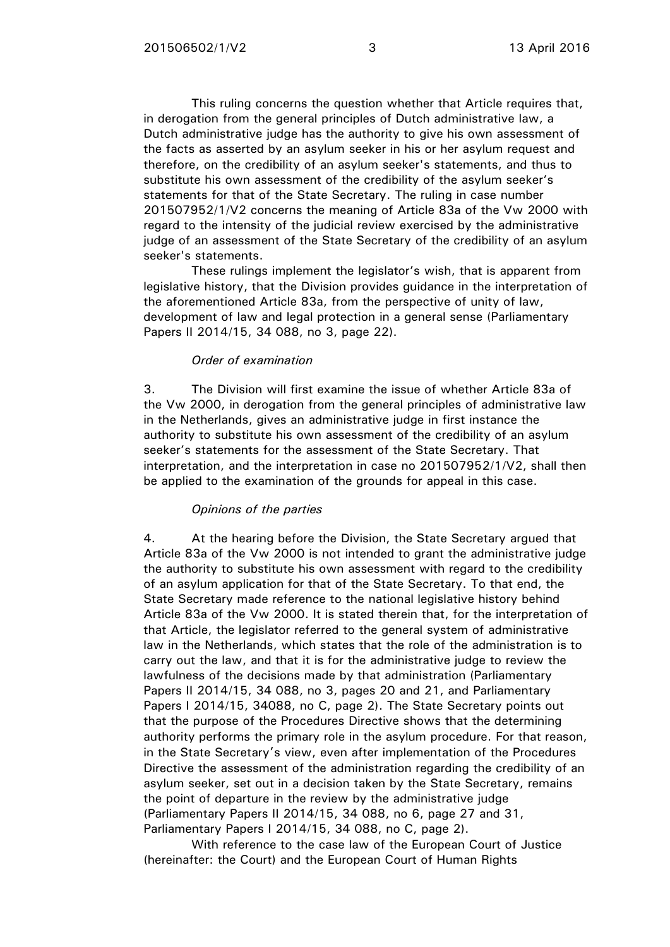This ruling concerns the question whether that Article requires that, in derogation from the general principles of Dutch administrative law, a Dutch administrative judge has the authority to give his own assessment of the facts as asserted by an asylum seeker in his or her asylum request and therefore, on the credibility of an asylum seeker's statements, and thus to substitute his own assessment of the credibility of the asylum seeker's statements for that of the State Secretary. The ruling in case number 201507952/1/V2 concerns the meaning of Article 83a of the Vw 2000 with regard to the intensity of the judicial review exercised by the administrative judge of an assessment of the State Secretary of the credibility of an asylum seeker's statements.

These rulings implement the legislator's wish, that is apparent from legislative history, that the Division provides guidance in the interpretation of the aforementioned Article 83a, from the perspective of unity of law, development of law and legal protection in a general sense (Parliamentary Papers II 2014/15, 34 088, no 3, page 22).

#### *Order of examination*

3. The Division will first examine the issue of whether Article 83a of the Vw 2000, in derogation from the general principles of administrative law in the Netherlands, gives an administrative judge in first instance the authority to substitute his own assessment of the credibility of an asylum seeker's statements for the assessment of the State Secretary. That interpretation, and the interpretation in case no 201507952/1/V2, shall then be applied to the examination of the grounds for appeal in this case.

#### *Opinions of the parties*

4. At the hearing before the Division, the State Secretary argued that Article 83a of the Vw 2000 is not intended to grant the administrative judge the authority to substitute his own assessment with regard to the credibility of an asylum application for that of the State Secretary. To that end, the State Secretary made reference to the national legislative history behind Article 83a of the Vw 2000. It is stated therein that, for the interpretation of that Article, the legislator referred to the general system of administrative law in the Netherlands, which states that the role of the administration is to carry out the law, and that it is for the administrative judge to review the lawfulness of the decisions made by that administration (Parliamentary Papers II 2014/15, 34 088, no 3, pages 20 and 21, and Parliamentary Papers I 2014/15, 34088, no C, page 2). The State Secretary points out that the purpose of the Procedures Directive shows that the determining authority performs the primary role in the asylum procedure. For that reason, in the State Secretary's view, even after implementation of the Procedures Directive the assessment of the administration regarding the credibility of an asylum seeker, set out in a decision taken by the State Secretary, remains the point of departure in the review by the administrative judge (Parliamentary Papers II 2014/15, 34 088, no 6, page 27 and 31, Parliamentary Papers I 2014/15, 34 088, no C, page 2).

With reference to the case law of the European Court of Justice (hereinafter: the Court) and the European Court of Human Rights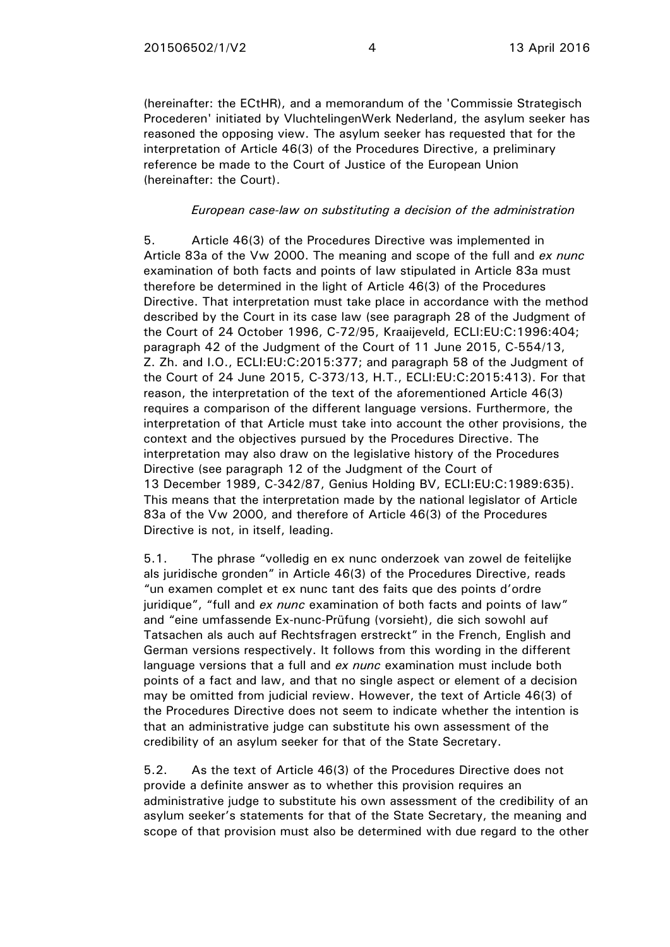(hereinafter: the ECtHR), and a memorandum of the 'Commissie Strategisch Procederen' initiated by VluchtelingenWerk Nederland, the asylum seeker has reasoned the opposing view. The asylum seeker has requested that for the interpretation of Article 46(3) of the Procedures Directive, a preliminary reference be made to the Court of Justice of the European Union (hereinafter: the Court).

## *European case-law on substituting a decision of the administration*

5. Article 46(3) of the Procedures Directive was implemented in Article 83a of the Vw 2000. The meaning and scope of the full and *ex nunc* examination of both facts and points of law stipulated in Article 83a must therefore be determined in the light of Article 46(3) of the Procedures Directive. That interpretation must take place in accordance with the method described by the Court in its case law (see paragraph 28 of the Judgment of the Court of 24 October 1996, C-72/95, Kraaijeveld, ECLI:EU:C:1996:404; paragraph 42 of the Judgment of the Court of 11 June 2015, C-554/13, Z. Zh. and I.O., ECLI:EU:C:2015:377; and paragraph 58 of the Judgment of the Court of 24 June 2015, C-373/13, H.T., ECLI:EU:C:2015:413). For that reason, the interpretation of the text of the aforementioned Article 46(3) requires a comparison of the different language versions. Furthermore, the interpretation of that Article must take into account the other provisions, the context and the objectives pursued by the Procedures Directive. The interpretation may also draw on the legislative history of the Procedures Directive (see paragraph 12 of the Judgment of the Court of 13 December 1989, C-342/87, Genius Holding BV, ECLI:EU:C:1989:635). This means that the interpretation made by the national legislator of Article 83a of the Vw 2000, and therefore of Article 46(3) of the Procedures Directive is not, in itself, leading.

5.1. The phrase "volledig en ex nunc onderzoek van zowel de feitelijke als juridische gronden" in Article 46(3) of the Procedures Directive, reads "un examen complet et ex nunc tant des faits que des points d'ordre juridique", "full and *ex nunc* examination of both facts and points of law" and "eine umfassende Ex-nunc-Prüfung (vorsieht), die sich sowohl auf Tatsachen als auch auf Rechtsfragen erstreckt" in the French, English and German versions respectively. It follows from this wording in the different language versions that a full and *ex nunc* examination must include both points of a fact and law, and that no single aspect or element of a decision may be omitted from judicial review. However, the text of Article 46(3) of the Procedures Directive does not seem to indicate whether the intention is that an administrative judge can substitute his own assessment of the credibility of an asylum seeker for that of the State Secretary.

5.2. As the text of Article 46(3) of the Procedures Directive does not provide a definite answer as to whether this provision requires an administrative judge to substitute his own assessment of the credibility of an asylum seeker's statements for that of the State Secretary, the meaning and scope of that provision must also be determined with due regard to the other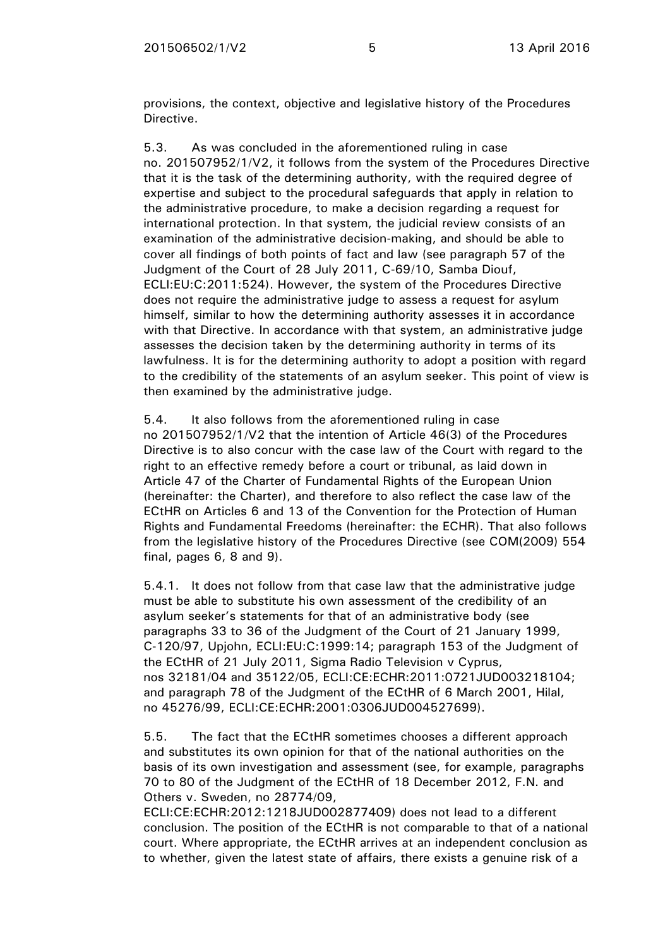provisions, the context, objective and legislative history of the Procedures Directive.

5.3. As was concluded in the aforementioned ruling in case no. 201507952/1/V2, it follows from the system of the Procedures Directive that it is the task of the determining authority, with the required degree of expertise and subject to the procedural safeguards that apply in relation to the administrative procedure, to make a decision regarding a request for international protection. In that system, the judicial review consists of an examination of the administrative decision-making, and should be able to cover all findings of both points of fact and law (see paragraph 57 of the Judgment of the Court of 28 July 2011, C-69/10, Samba Diouf, ECLI:EU:C:2011:524). However, the system of the Procedures Directive does not require the administrative judge to assess a request for asylum himself, similar to how the determining authority assesses it in accordance with that Directive. In accordance with that system, an administrative judge assesses the decision taken by the determining authority in terms of its lawfulness. It is for the determining authority to adopt a position with regard to the credibility of the statements of an asylum seeker. This point of view is then examined by the administrative judge.

5.4. It also follows from the aforementioned ruling in case no 201507952/1/V2 that the intention of Article 46(3) of the Procedures Directive is to also concur with the case law of the Court with regard to the right to an effective remedy before a court or tribunal, as laid down in Article 47 of the Charter of Fundamental Rights of the European Union (hereinafter: the Charter), and therefore to also reflect the case law of the ECtHR on Articles 6 and 13 of the Convention for the Protection of Human Rights and Fundamental Freedoms (hereinafter: the ECHR). That also follows from the legislative history of the Procedures Directive (see COM(2009) 554 final, pages 6, 8 and 9).

5.4.1. It does not follow from that case law that the administrative judge must be able to substitute his own assessment of the credibility of an asylum seeker's statements for that of an administrative body (see paragraphs 33 to 36 of the Judgment of the Court of 21 January 1999, C-120/97, Upjohn, ECLI:EU:C:1999:14; paragraph 153 of the Judgment of the ECtHR of 21 July 2011, Sigma Radio Television v Cyprus, nos 32181/04 and 35122/05, ECLI:CE:ECHR:2011:0721JUD003218104; and paragraph 78 of the Judgment of the ECtHR of 6 March 2001, Hilal, no 45276/99, ECLI:CE:ECHR:2001:0306JUD004527699).

5.5. The fact that the ECtHR sometimes chooses a different approach and substitutes its own opinion for that of the national authorities on the basis of its own investigation and assessment (see, for example, paragraphs 70 to 80 of the Judgment of the ECtHR of 18 December 2012, F.N. and Others v. Sweden, no 28774/09,

ECLI:CE:ECHR:2012:1218JUD002877409) does not lead to a different conclusion. The position of the ECtHR is not comparable to that of a national court. Where appropriate, the ECtHR arrives at an independent conclusion as to whether, given the latest state of affairs, there exists a genuine risk of a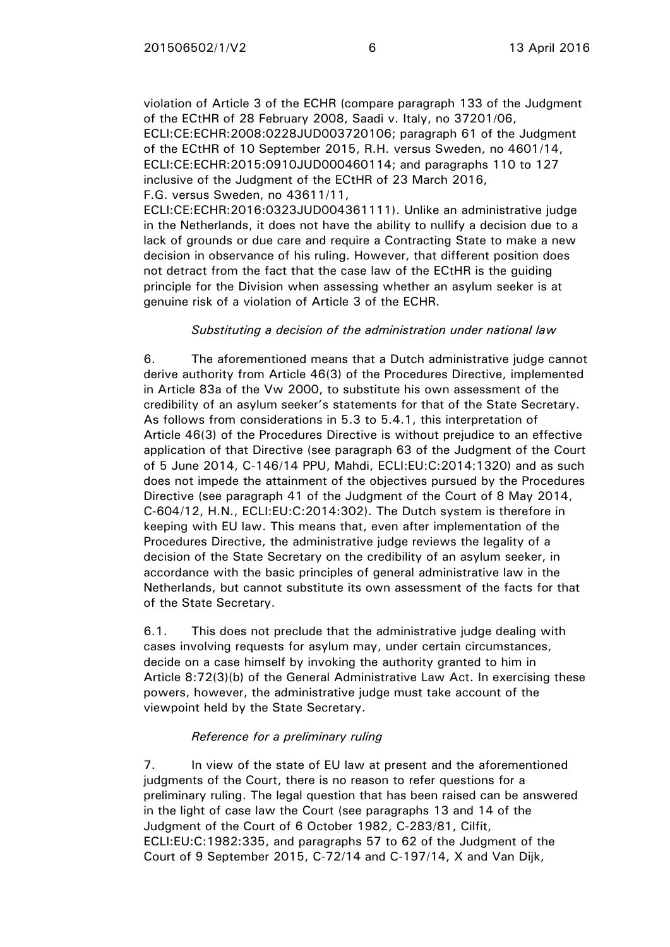violation of Article 3 of the ECHR (compare paragraph 133 of the Judgment of the ECtHR of 28 February 2008, Saadi v. Italy, no 37201/06, ECLI:CE:ECHR:2008:0228JUD003720106; paragraph 61 of the Judgment of the ECtHR of 10 September 2015, R.H. versus Sweden, no 4601/14, ECLI:CE:ECHR:2015:0910JUD000460114; and paragraphs 110 to 127 inclusive of the Judgment of the ECtHR of 23 March 2016, F.G. versus Sweden, no 43611/11,

ECLI:CE:ECHR:2016:0323JUD004361111). Unlike an administrative judge in the Netherlands, it does not have the ability to nullify a decision due to a lack of grounds or due care and require a Contracting State to make a new decision in observance of his ruling. However, that different position does not detract from the fact that the case law of the ECtHR is the guiding principle for the Division when assessing whether an asylum seeker is at genuine risk of a violation of Article 3 of the ECHR.

#### *Substituting a decision of the administration under national law*

6. The aforementioned means that a Dutch administrative judge cannot derive authority from Article 46(3) of the Procedures Directive, implemented in Article 83a of the Vw 2000, to substitute his own assessment of the credibility of an asylum seeker's statements for that of the State Secretary. As follows from considerations in 5.3 to 5.4.1, this interpretation of Article 46(3) of the Procedures Directive is without prejudice to an effective application of that Directive (see paragraph 63 of the Judgment of the Court of 5 June 2014, C-146/14 PPU, Mahdi, ECLI:EU:C:2014:1320) and as such does not impede the attainment of the objectives pursued by the Procedures Directive (see paragraph 41 of the Judgment of the Court of 8 May 2014, C-604/12, H.N., ECLI:EU:C:2014:302). The Dutch system is therefore in keeping with EU law. This means that, even after implementation of the Procedures Directive, the administrative judge reviews the legality of a decision of the State Secretary on the credibility of an asylum seeker, in accordance with the basic principles of general administrative law in the Netherlands, but cannot substitute its own assessment of the facts for that of the State Secretary.

6.1. This does not preclude that the administrative judge dealing with cases involving requests for asylum may, under certain circumstances, decide on a case himself by invoking the authority granted to him in Article 8:72(3)(b) of the General Administrative Law Act. In exercising these powers, however, the administrative judge must take account of the viewpoint held by the State Secretary.

#### *Reference for a preliminary ruling*

7. In view of the state of EU law at present and the aforementioned judgments of the Court, there is no reason to refer questions for a preliminary ruling. The legal question that has been raised can be answered in the light of case law the Court (see paragraphs 13 and 14 of the Judgment of the Court of 6 October 1982, C-283/81, Cilfit, ECLI:EU:C:1982:335, and paragraphs 57 to 62 of the Judgment of the Court of 9 September 2015, C-72/14 and C-197/14, X and Van Dijk,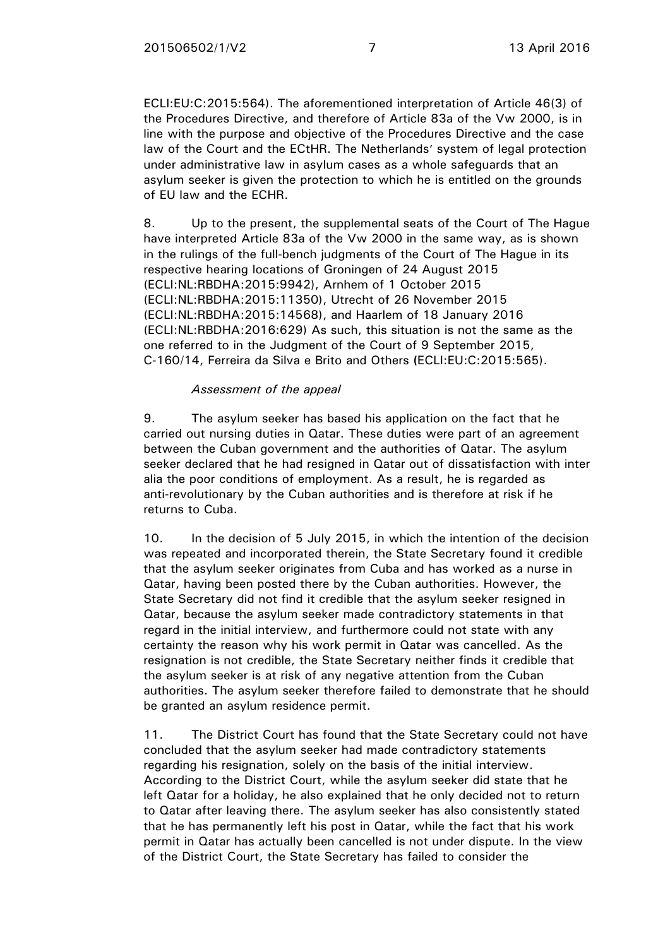ECLI:EU:C:2015:564). The aforementioned interpretation of Article 46(3) of the Procedures Directive, and therefore of Article 83a of the Vw 2000, is in line with the purpose and objective of the Procedures Directive and the case law of the Court and the ECtHR. The Netherlands' system of legal protection under administrative law in asylum cases as a whole safeguards that an asylum seeker is given the protection to which he is entitled on the grounds of EU law and the ECHR.

8. Up to the present, the supplemental seats of the Court of The Hague have interpreted Article 83a of the Vw 2000 in the same way, as is shown in the rulings of the full-bench judgments of the Court of The Hague in its respective hearing locations of Groningen of 24 August 2015 (ECLI:NL:RBDHA:2015:9942), Arnhem of 1 October 2015 (ECLI:NL:RBDHA:2015:11350), Utrecht of 26 November 2015 (ECLI:NL:RBDHA:2015:14568), and Haarlem of 18 January 2016 (ECLI:NL:RBDHA:2016:629) As such, this situation is not the same as the one referred to in the Judgment of the Court of 9 September 2015, C-160/14, Ferreira da Silva e Brito and Others **(**ECLI:EU:C:2015:565).

## *Assessment of the appeal*

9. The asylum seeker has based his application on the fact that he carried out nursing duties in Qatar. These duties were part of an agreement between the Cuban government and the authorities of Qatar. The asylum seeker declared that he had resigned in Qatar out of dissatisfaction with inter alia the poor conditions of employment. As a result, he is regarded as anti-revolutionary by the Cuban authorities and is therefore at risk if he returns to Cuba.

10. In the decision of 5 July 2015, in which the intention of the decision was repeated and incorporated therein, the State Secretary found it credible that the asylum seeker originates from Cuba and has worked as a nurse in Qatar, having been posted there by the Cuban authorities. However, the State Secretary did not find it credible that the asylum seeker resigned in Qatar, because the asylum seeker made contradictory statements in that regard in the initial interview, and furthermore could not state with any certainty the reason why his work permit in Qatar was cancelled. As the resignation is not credible, the State Secretary neither finds it credible that the asylum seeker is at risk of any negative attention from the Cuban authorities. The asylum seeker therefore failed to demonstrate that he should be granted an asylum residence permit.

11. The District Court has found that the State Secretary could not have concluded that the asylum seeker had made contradictory statements regarding his resignation, solely on the basis of the initial interview. According to the District Court, while the asylum seeker did state that he left Qatar for a holiday, he also explained that he only decided not to return to Qatar after leaving there. The asylum seeker has also consistently stated that he has permanently left his post in Qatar, while the fact that his work permit in Qatar has actually been cancelled is not under dispute. In the view of the District Court, the State Secretary has failed to consider the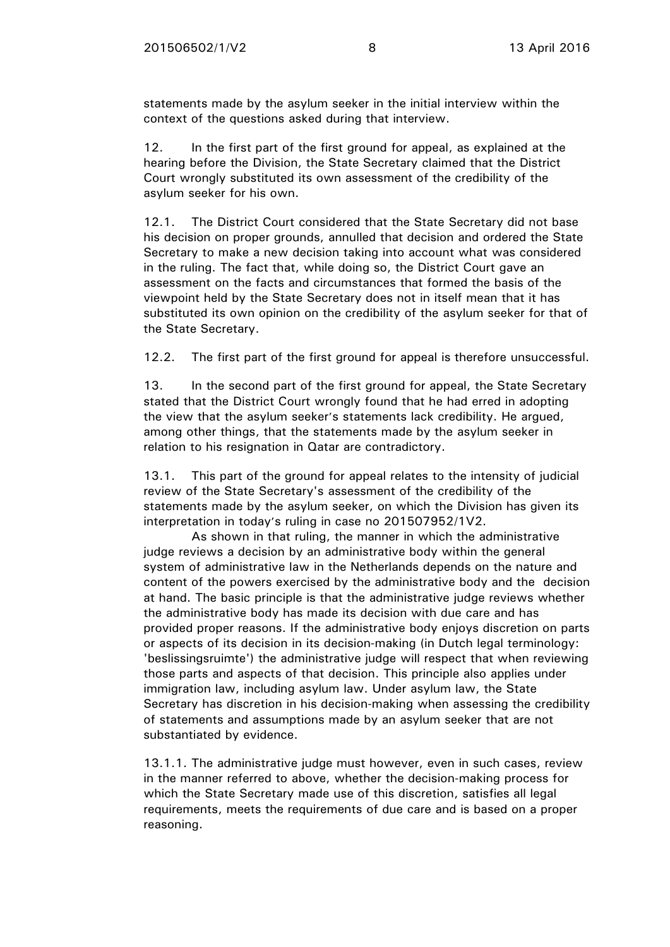statements made by the asylum seeker in the initial interview within the context of the questions asked during that interview.

12. In the first part of the first ground for appeal, as explained at the hearing before the Division, the State Secretary claimed that the District Court wrongly substituted its own assessment of the credibility of the asylum seeker for his own.

12.1. The District Court considered that the State Secretary did not base his decision on proper grounds, annulled that decision and ordered the State Secretary to make a new decision taking into account what was considered in the ruling. The fact that, while doing so, the District Court gave an assessment on the facts and circumstances that formed the basis of the viewpoint held by the State Secretary does not in itself mean that it has substituted its own opinion on the credibility of the asylum seeker for that of the State Secretary.

12.2. The first part of the first ground for appeal is therefore unsuccessful.

13. In the second part of the first ground for appeal, the State Secretary stated that the District Court wrongly found that he had erred in adopting the view that the asylum seeker's statements lack credibility. He argued, among other things, that the statements made by the asylum seeker in relation to his resignation in Qatar are contradictory.

13.1. This part of the ground for appeal relates to the intensity of judicial review of the State Secretary's assessment of the credibility of the statements made by the asylum seeker, on which the Division has given its interpretation in today's ruling in case no 201507952/1V2.

As shown in that ruling, the manner in which the administrative judge reviews a decision by an administrative body within the general system of administrative law in the Netherlands depends on the nature and content of the powers exercised by the administrative body and the decision at hand. The basic principle is that the administrative judge reviews whether the administrative body has made its decision with due care and has provided proper reasons. If the administrative body enjoys discretion on parts or aspects of its decision in its decision-making (in Dutch legal terminology: 'beslissingsruimte') the administrative judge will respect that when reviewing those parts and aspects of that decision. This principle also applies under immigration law, including asylum law. Under asylum law, the State Secretary has discretion in his decision-making when assessing the credibility of statements and assumptions made by an asylum seeker that are not substantiated by evidence.

13.1.1. The administrative judge must however, even in such cases, review in the manner referred to above, whether the decision-making process for which the State Secretary made use of this discretion, satisfies all legal requirements, meets the requirements of due care and is based on a proper reasoning.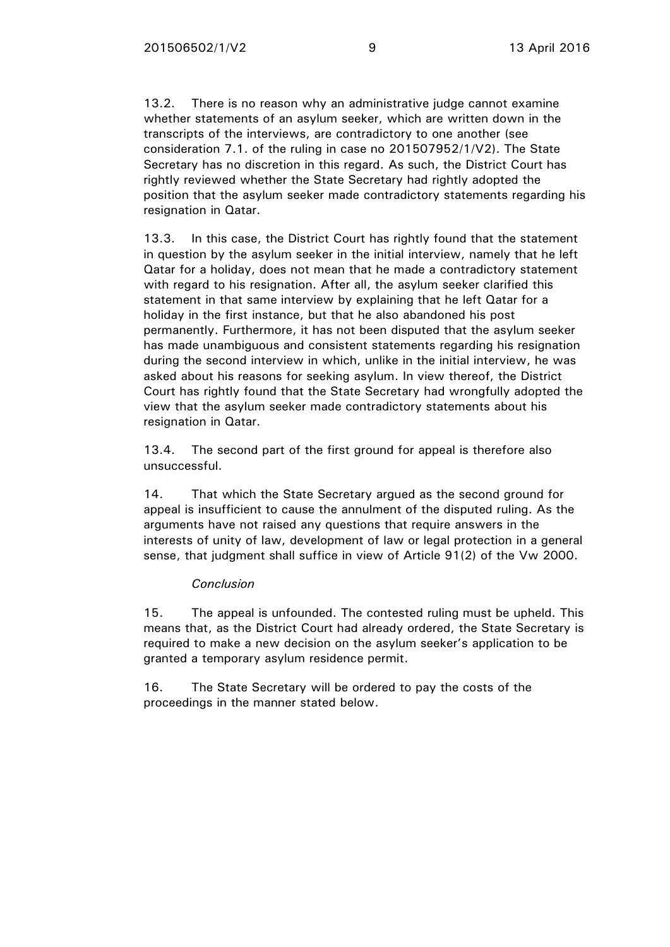13.2. There is no reason why an administrative judge cannot examine whether statements of an asylum seeker, which are written down in the transcripts of the interviews, are contradictory to one another (see consideration 7.1. of the ruling in case no 201507952/1/V2). The State Secretary has no discretion in this regard. As such, the District Court has rightly reviewed whether the State Secretary had rightly adopted the position that the asylum seeker made contradictory statements regarding his resignation in Qatar.

13.3. In this case, the District Court has rightly found that the statement in question by the asylum seeker in the initial interview, namely that he left Qatar for a holiday, does not mean that he made a contradictory statement with regard to his resignation. After all, the asylum seeker clarified this statement in that same interview by explaining that he left Qatar for a holiday in the first instance, but that he also abandoned his post permanently. Furthermore, it has not been disputed that the asylum seeker has made unambiguous and consistent statements regarding his resignation during the second interview in which, unlike in the initial interview, he was asked about his reasons for seeking asylum. In view thereof, the District Court has rightly found that the State Secretary had wrongfully adopted the view that the asylum seeker made contradictory statements about his resignation in Qatar.

13.4. The second part of the first ground for appeal is therefore also unsuccessful.

14. That which the State Secretary argued as the second ground for appeal is insufficient to cause the annulment of the disputed ruling. As the arguments have not raised any questions that require answers in the interests of unity of law, development of law or legal protection in a general sense, that judgment shall suffice in view of Article 91(2) of the Vw 2000.

## *Conclusion*

15. The appeal is unfounded. The contested ruling must be upheld. This means that, as the District Court had already ordered, the State Secretary is required to make a new decision on the asylum seeker's application to be granted a temporary asylum residence permit.

16. The State Secretary will be ordered to pay the costs of the proceedings in the manner stated below.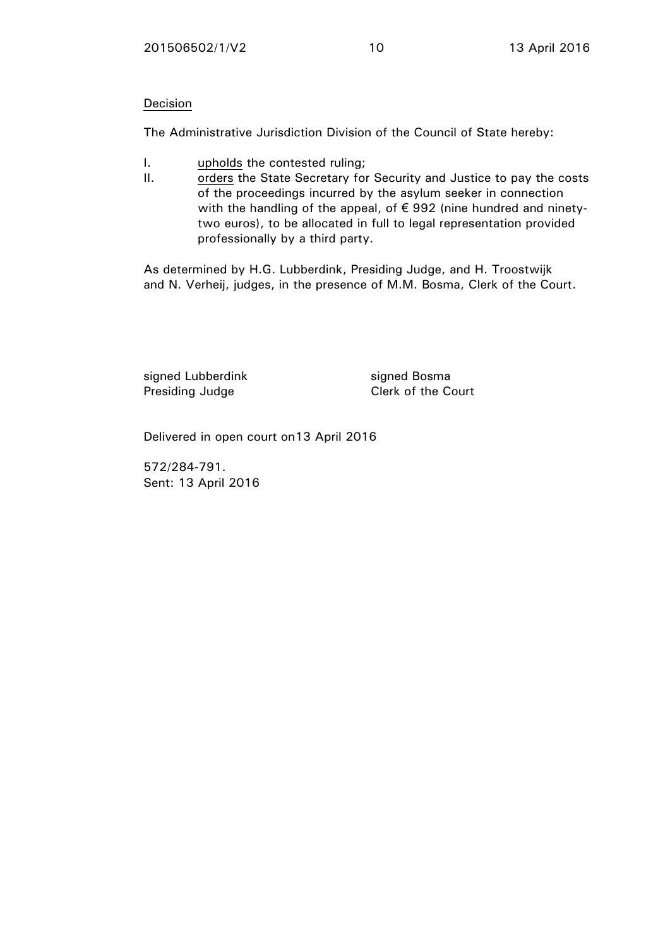## **Decision**

The Administrative Jurisdiction Division of the Council of State hereby:

- I. upholds the contested ruling;
- II. orders the State Secretary for Security and Justice to pay the costs of the proceedings incurred by the asylum seeker in connection with the handling of the appeal, of €992 (nine hundred and ninetytwo euros), to be allocated in full to legal representation provided professionally by a third party.

As determined by H.G. Lubberdink, Presiding Judge, and H. Troostwijk and N. Verheij, judges, in the presence of M.M. Bosma, Clerk of the Court.

signed Lubberdink Presiding Judge

signed Bosma Clerk of the Court

Delivered in open court on13 April 2016

572/284-791. Sent: 13 April 2016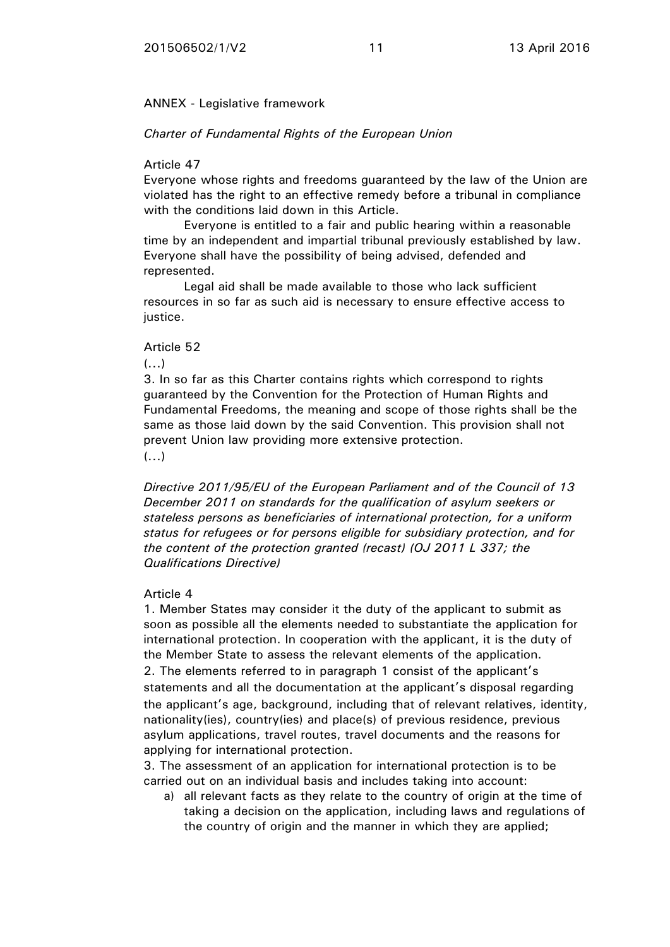#### ANNEX - Legislative framework

*Charter of Fundamental Rights of the European Union*

#### Article 47

Everyone whose rights and freedoms guaranteed by the law of the Union are violated has the right to an effective remedy before a tribunal in compliance with the conditions laid down in this Article.

Everyone is entitled to a fair and public hearing within a reasonable time by an independent and impartial tribunal previously established by law. Everyone shall have the possibility of being advised, defended and represented.

Legal aid shall be made available to those who lack sufficient resources in so far as such aid is necessary to ensure effective access to justice.

#### Article 52

 $($ ... $)$ 

3. In so far as this Charter contains rights which correspond to rights guaranteed by the Convention for the Protection of Human Rights and Fundamental Freedoms, the meaning and scope of those rights shall be the same as those laid down by the said Convention. This provision shall not prevent Union law providing more extensive protection.  $(\ldots)$ 

*Directive 2011/95/EU of the European Parliament and of the Council of 13 December 2011 on standards for the qualification of asylum seekers or stateless persons as beneficiaries of international protection, for a uniform status for refugees or for persons eligible for subsidiary protection, and for the content of the protection granted (recast) (OJ 2011 L 337; the Qualifications Directive)*

#### Article 4

1. Member States may consider it the duty of the applicant to submit as soon as possible all the elements needed to substantiate the application for international protection. In cooperation with the applicant, it is the duty of the Member State to assess the relevant elements of the application. 2. The elements referred to in paragraph 1 consist of the applicant's statements and all the documentation at the applicant's disposal regarding the applicant's age, background, including that of relevant relatives, identity, nationality(ies), country(ies) and place(s) of previous residence, previous asylum applications, travel routes, travel documents and the reasons for

3. The assessment of an application for international protection is to be carried out on an individual basis and includes taking into account:

applying for international protection.

a) all relevant facts as they relate to the country of origin at the time of taking a decision on the application, including laws and regulations of the country of origin and the manner in which they are applied;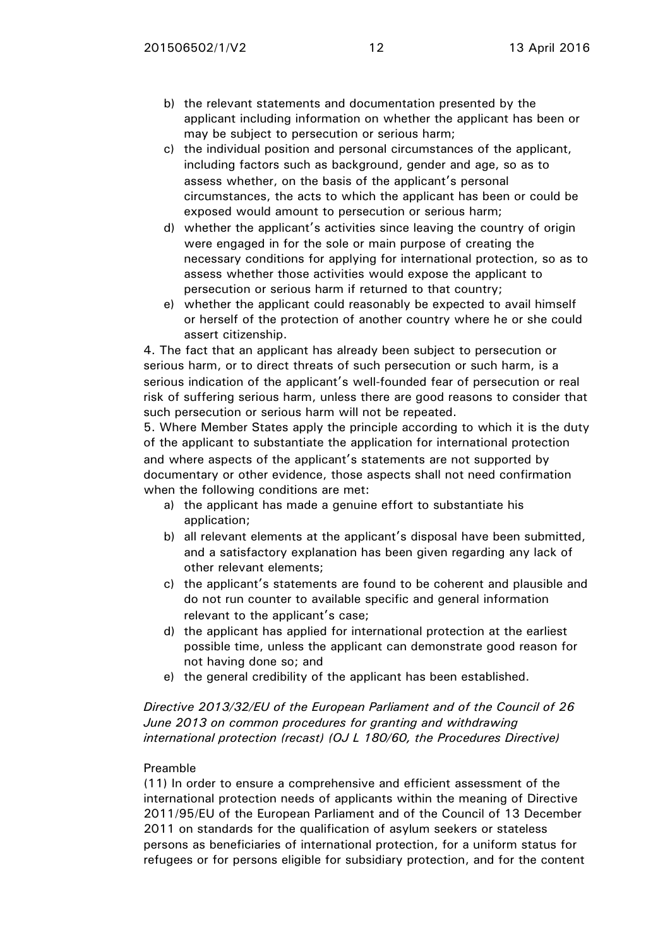- b) the relevant statements and documentation presented by the applicant including information on whether the applicant has been or may be subject to persecution or serious harm;
- c) the individual position and personal circumstances of the applicant, including factors such as background, gender and age, so as to assess whether, on the basis of the applicant's personal circumstances, the acts to which the applicant has been or could be exposed would amount to persecution or serious harm;
- d) whether the applicant's activities since leaving the country of origin were engaged in for the sole or main purpose of creating the necessary conditions for applying for international protection, so as to assess whether those activities would expose the applicant to persecution or serious harm if returned to that country;
- e) whether the applicant could reasonably be expected to avail himself or herself of the protection of another country where he or she could assert citizenship.

4. The fact that an applicant has already been subject to persecution or serious harm, or to direct threats of such persecution or such harm, is a serious indication of the applicant's well-founded fear of persecution or real risk of suffering serious harm, unless there are good reasons to consider that such persecution or serious harm will not be repeated.

5. Where Member States apply the principle according to which it is the duty of the applicant to substantiate the application for international protection and where aspects of the applicant's statements are not supported by documentary or other evidence, those aspects shall not need confirmation when the following conditions are met:

- a) the applicant has made a genuine effort to substantiate his application;
- b) all relevant elements at the applicant's disposal have been submitted, and a satisfactory explanation has been given regarding any lack of other relevant elements;
- c) the applicant's statements are found to be coherent and plausible and do not run counter to available specific and general information relevant to the applicant's case;
- d) the applicant has applied for international protection at the earliest possible time, unless the applicant can demonstrate good reason for not having done so; and
- e) the general credibility of the applicant has been established.

*Directive 2013/32/EU of the European Parliament and of the Council of 26 June 2013 on common procedures for granting and withdrawing international protection (recast) (OJ L 180/60, the Procedures Directive)*

# Preamble

(11) In order to ensure a comprehensive and efficient assessment of the international protection needs of applicants within the meaning of Directive 2011/95/EU of the European Parliament and of the Council of 13 December 2011 on standards for the qualification of asylum seekers or stateless persons as beneficiaries of international protection, for a uniform status for refugees or for persons eligible for subsidiary protection, and for the content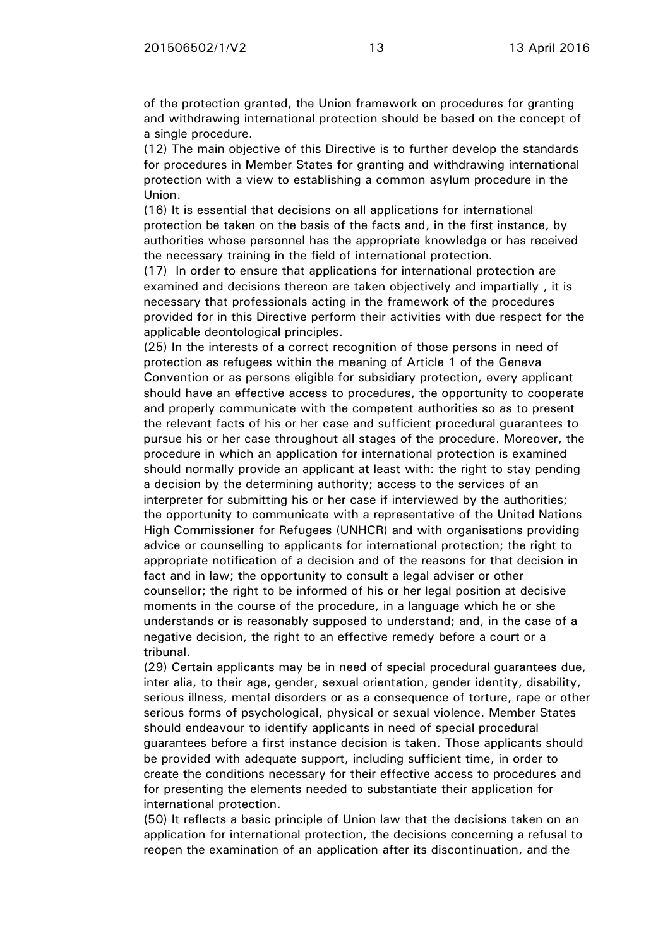of the protection granted, the Union framework on procedures for granting and withdrawing international protection should be based on the concept of a single procedure.

(12) The main objective of this Directive is to further develop the standards for procedures in Member States for granting and withdrawing international protection with a view to establishing a common asylum procedure in the Union.

(16) It is essential that decisions on all applications for international protection be taken on the basis of the facts and, in the first instance, by authorities whose personnel has the appropriate knowledge or has received the necessary training in the field of international protection.

(17) In order to ensure that applications for international protection are examined and decisions thereon are taken objectively and impartially , it is necessary that professionals acting in the framework of the procedures provided for in this Directive perform their activities with due respect for the applicable deontological principles.

(25) In the interests of a correct recognition of those persons in need of protection as refugees within the meaning of Article 1 of the Geneva Convention or as persons eligible for subsidiary protection, every applicant should have an effective access to procedures, the opportunity to cooperate and properly communicate with the competent authorities so as to present the relevant facts of his or her case and sufficient procedural guarantees to pursue his or her case throughout all stages of the procedure. Moreover, the procedure in which an application for international protection is examined should normally provide an applicant at least with: the right to stay pending a decision by the determining authority; access to the services of an interpreter for submitting his or her case if interviewed by the authorities; the opportunity to communicate with a representative of the United Nations High Commissioner for Refugees (UNHCR) and with organisations providing advice or counselling to applicants for international protection; the right to appropriate notification of a decision and of the reasons for that decision in fact and in law; the opportunity to consult a legal adviser or other counsellor; the right to be informed of his or her legal position at decisive moments in the course of the procedure, in a language which he or she understands or is reasonably supposed to understand; and, in the case of a negative decision, the right to an effective remedy before a court or a tribunal.

(29) Certain applicants may be in need of special procedural guarantees due, inter alia, to their age, gender, sexual orientation, gender identity, disability, serious illness, mental disorders or as a consequence of torture, rape or other serious forms of psychological, physical or sexual violence. Member States should endeavour to identify applicants in need of special procedural guarantees before a first instance decision is taken. Those applicants should be provided with adequate support, including sufficient time, in order to create the conditions necessary for their effective access to procedures and for presenting the elements needed to substantiate their application for international protection.

(50) It reflects a basic principle of Union law that the decisions taken on an application for international protection, the decisions concerning a refusal to reopen the examination of an application after its discontinuation, and the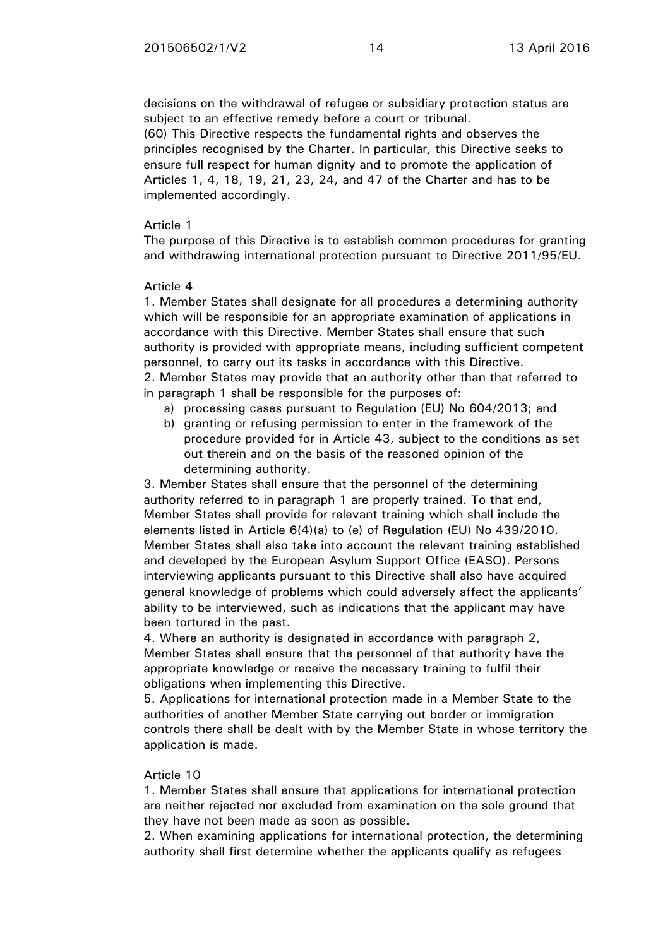decisions on the withdrawal of refugee or subsidiary protection status are subject to an effective remedy before a court or tribunal.

(60) This Directive respects the fundamental rights and observes the principles recognised by the Charter. In particular, this Directive seeks to ensure full respect for human dignity and to promote the application of Articles 1, 4, 18, 19, 21, 23, 24, and 47 of the Charter and has to be implemented accordingly.

#### Article 1

The purpose of this Directive is to establish common procedures for granting and withdrawing international protection pursuant to Directive 2011/95/EU.

#### Article 4

1. Member States shall designate for all procedures a determining authority which will be responsible for an appropriate examination of applications in accordance with this Directive. Member States shall ensure that such authority is provided with appropriate means, including sufficient competent personnel, to carry out its tasks in accordance with this Directive. 2. Member States may provide that an authority other than that referred to in paragraph 1 shall be responsible for the purposes of:

- a) processing cases pursuant to Regulation (EU) No 604/2013; and
- b) granting or refusing permission to enter in the framework of the procedure provided for in Article 43, subject to the conditions as set out therein and on the basis of the reasoned opinion of the determining authority.

3. Member States shall ensure that the personnel of the determining authority referred to in paragraph 1 are properly trained. To that end, Member States shall provide for relevant training which shall include the elements listed in Article 6(4)(a) to (e) of Regulation (EU) No 439/2010. Member States shall also take into account the relevant training established and developed by the European Asylum Support Office (EASO). Persons interviewing applicants pursuant to this Directive shall also have acquired general knowledge of problems which could adversely affect the applicants' ability to be interviewed, such as indications that the applicant may have been tortured in the past.

4. Where an authority is designated in accordance with paragraph 2, Member States shall ensure that the personnel of that authority have the appropriate knowledge or receive the necessary training to fulfil their obligations when implementing this Directive.

5. Applications for international protection made in a Member State to the authorities of another Member State carrying out border or immigration controls there shall be dealt with by the Member State in whose territory the application is made.

#### Article 10

1. Member States shall ensure that applications for international protection are neither rejected nor excluded from examination on the sole ground that they have not been made as soon as possible.

2. When examining applications for international protection, the determining authority shall first determine whether the applicants qualify as refugees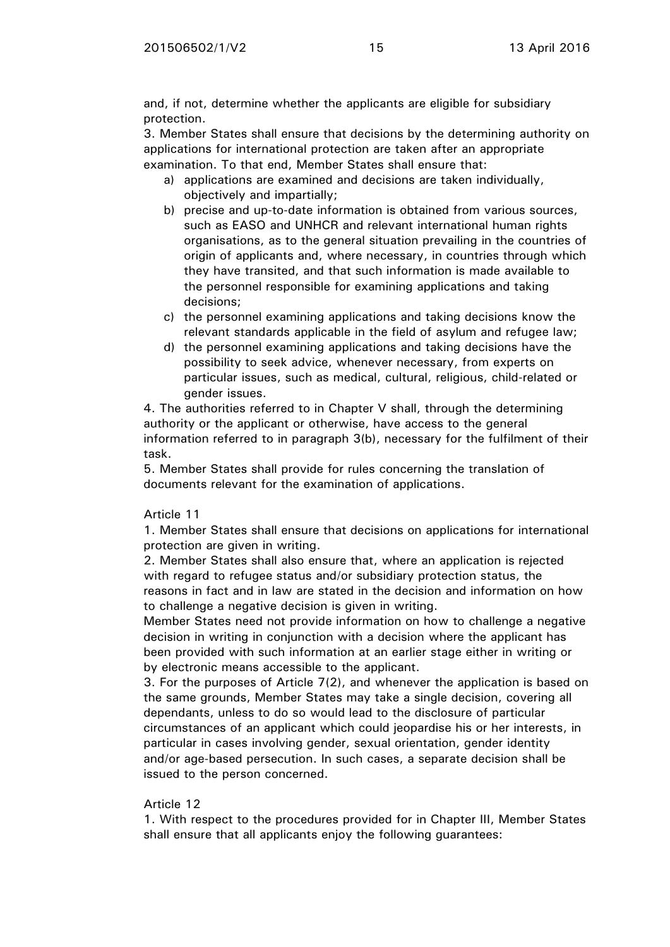and, if not, determine whether the applicants are eligible for subsidiary protection.

3. Member States shall ensure that decisions by the determining authority on applications for international protection are taken after an appropriate examination. To that end, Member States shall ensure that:

- a) applications are examined and decisions are taken individually, objectively and impartially;
- b) precise and up-to-date information is obtained from various sources, such as EASO and UNHCR and relevant international human rights organisations, as to the general situation prevailing in the countries of origin of applicants and, where necessary, in countries through which they have transited, and that such information is made available to the personnel responsible for examining applications and taking decisions;
- c) the personnel examining applications and taking decisions know the relevant standards applicable in the field of asylum and refugee law;
- d) the personnel examining applications and taking decisions have the possibility to seek advice, whenever necessary, from experts on particular issues, such as medical, cultural, religious, child-related or gender issues.

4. The authorities referred to in Chapter V shall, through the determining authority or the applicant or otherwise, have access to the general information referred to in paragraph 3(b), necessary for the fulfilment of their task.

5. Member States shall provide for rules concerning the translation of documents relevant for the examination of applications.

# Article 11

1. Member States shall ensure that decisions on applications for international protection are given in writing.

2. Member States shall also ensure that, where an application is rejected with regard to refugee status and/or subsidiary protection status, the reasons in fact and in law are stated in the decision and information on how to challenge a negative decision is given in writing.

Member States need not provide information on how to challenge a negative decision in writing in conjunction with a decision where the applicant has been provided with such information at an earlier stage either in writing or by electronic means accessible to the applicant.

3. For the purposes of Article 7(2), and whenever the application is based on the same grounds, Member States may take a single decision, covering all dependants, unless to do so would lead to the disclosure of particular circumstances of an applicant which could jeopardise his or her interests, in particular in cases involving gender, sexual orientation, gender identity and/or age-based persecution. In such cases, a separate decision shall be issued to the person concerned.

# Article 12

1. With respect to the procedures provided for in Chapter III, Member States shall ensure that all applicants enjoy the following guarantees: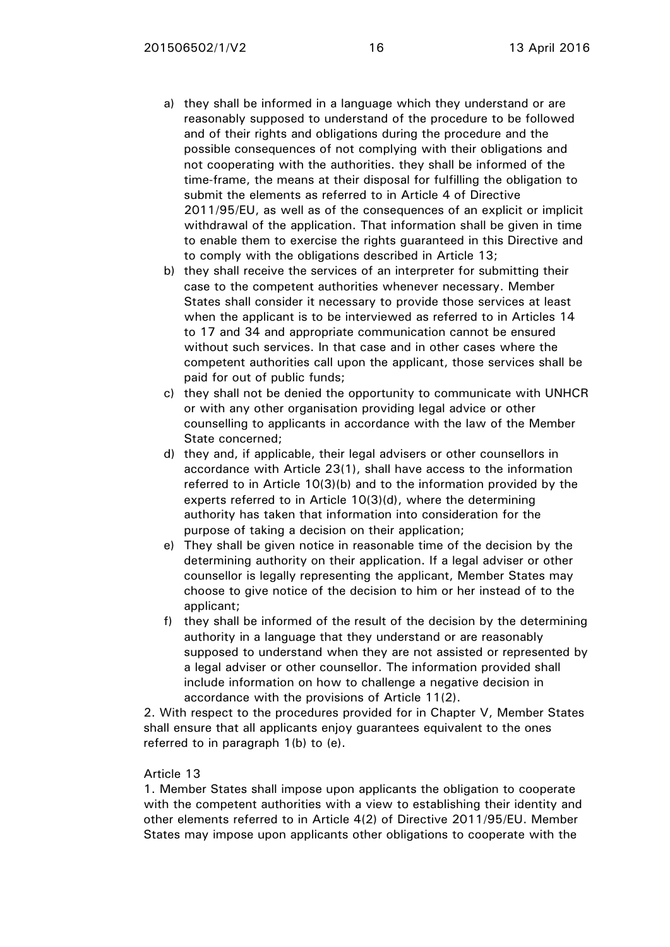- a) they shall be informed in a language which they understand or are reasonably supposed to understand of the procedure to be followed and of their rights and obligations during the procedure and the possible consequences of not complying with their obligations and not cooperating with the authorities. they shall be informed of the time-frame, the means at their disposal for fulfilling the obligation to submit the elements as referred to in Article 4 of Directive 2011/95/EU, as well as of the consequences of an explicit or implicit withdrawal of the application. That information shall be given in time to enable them to exercise the rights guaranteed in this Directive and to comply with the obligations described in Article 13;
- b) they shall receive the services of an interpreter for submitting their case to the competent authorities whenever necessary. Member States shall consider it necessary to provide those services at least when the applicant is to be interviewed as referred to in Articles 14 to 17 and 34 and appropriate communication cannot be ensured without such services. In that case and in other cases where the competent authorities call upon the applicant, those services shall be paid for out of public funds;
- c) they shall not be denied the opportunity to communicate with UNHCR or with any other organisation providing legal advice or other counselling to applicants in accordance with the law of the Member State concerned;
- d) they and, if applicable, their legal advisers or other counsellors in accordance with Article 23(1), shall have access to the information referred to in Article 10(3)(b) and to the information provided by the experts referred to in Article 10(3)(d), where the determining authority has taken that information into consideration for the purpose of taking a decision on their application;
- e) They shall be given notice in reasonable time of the decision by the determining authority on their application. If a legal adviser or other counsellor is legally representing the applicant, Member States may choose to give notice of the decision to him or her instead of to the applicant;
- f) they shall be informed of the result of the decision by the determining authority in a language that they understand or are reasonably supposed to understand when they are not assisted or represented by a legal adviser or other counsellor. The information provided shall include information on how to challenge a negative decision in accordance with the provisions of Article 11(2).

2. With respect to the procedures provided for in Chapter V, Member States shall ensure that all applicants enjoy guarantees equivalent to the ones referred to in paragraph 1(b) to (e).

## Article 13

1. Member States shall impose upon applicants the obligation to cooperate with the competent authorities with a view to establishing their identity and other elements referred to in Article 4(2) of Directive 2011/95/EU. Member States may impose upon applicants other obligations to cooperate with the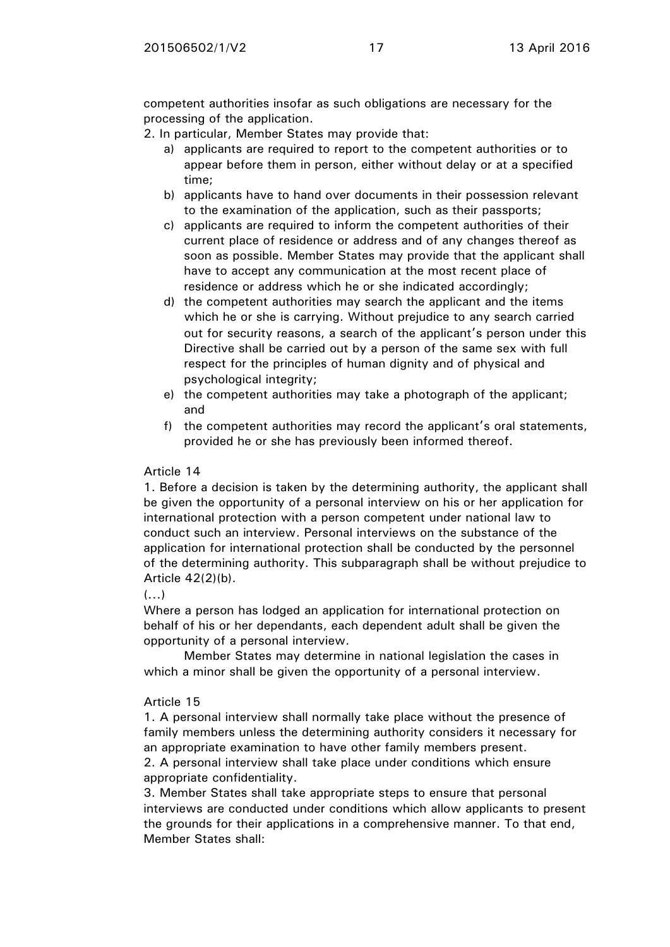competent authorities insofar as such obligations are necessary for the processing of the application.

2. In particular, Member States may provide that:

- a) applicants are required to report to the competent authorities or to appear before them in person, either without delay or at a specified time;
- b) applicants have to hand over documents in their possession relevant to the examination of the application, such as their passports;
- c) applicants are required to inform the competent authorities of their current place of residence or address and of any changes thereof as soon as possible. Member States may provide that the applicant shall have to accept any communication at the most recent place of residence or address which he or she indicated accordingly;
- d) the competent authorities may search the applicant and the items which he or she is carrying. Without prejudice to any search carried out for security reasons, a search of the applicant's person under this Directive shall be carried out by a person of the same sex with full respect for the principles of human dignity and of physical and psychological integrity;
- e) the competent authorities may take a photograph of the applicant; and
- f) the competent authorities may record the applicant's oral statements, provided he or she has previously been informed thereof.

# Article 14

1. Before a decision is taken by the determining authority, the applicant shall be given the opportunity of a personal interview on his or her application for international protection with a person competent under national law to conduct such an interview. Personal interviews on the substance of the application for international protection shall be conducted by the personnel of the determining authority. This subparagraph shall be without prejudice to Article 42(2)(b).

## $($ ... $)$

Where a person has lodged an application for international protection on behalf of his or her dependants, each dependent adult shall be given the opportunity of a personal interview.

Member States may determine in national legislation the cases in which a minor shall be given the opportunity of a personal interview.

## Article 15

1. A personal interview shall normally take place without the presence of family members unless the determining authority considers it necessary for an appropriate examination to have other family members present. 2. A personal interview shall take place under conditions which ensure appropriate confidentiality.

3. Member States shall take appropriate steps to ensure that personal interviews are conducted under conditions which allow applicants to present the grounds for their applications in a comprehensive manner. To that end, Member States shall: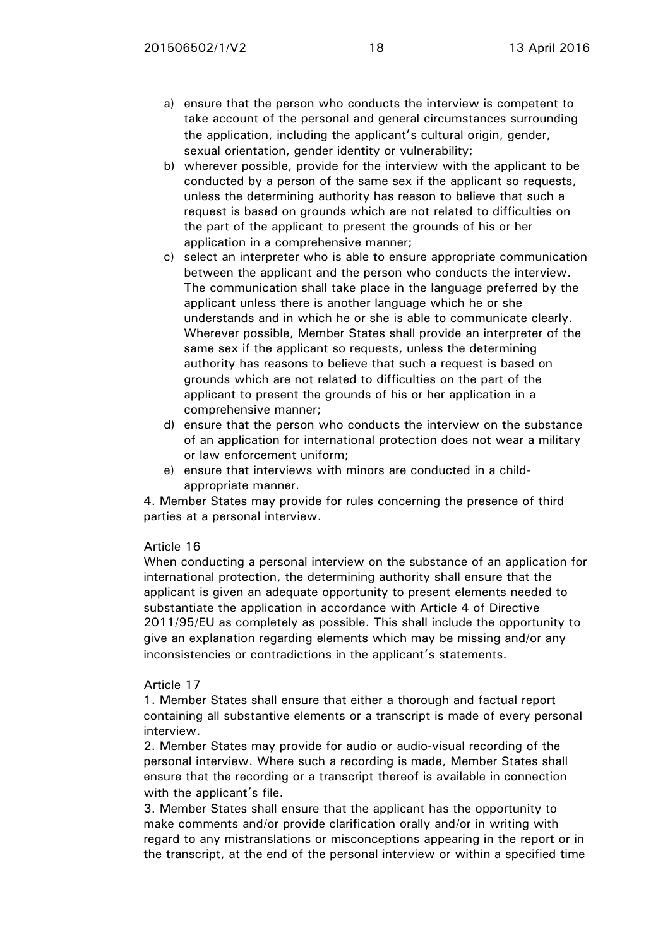- a) ensure that the person who conducts the interview is competent to take account of the personal and general circumstances surrounding the application, including the applicant's cultural origin, gender, sexual orientation, gender identity or vulnerability;
- b) wherever possible, provide for the interview with the applicant to be conducted by a person of the same sex if the applicant so requests, unless the determining authority has reason to believe that such a request is based on grounds which are not related to difficulties on the part of the applicant to present the grounds of his or her application in a comprehensive manner;
- c) select an interpreter who is able to ensure appropriate communication between the applicant and the person who conducts the interview. The communication shall take place in the language preferred by the applicant unless there is another language which he or she understands and in which he or she is able to communicate clearly. Wherever possible, Member States shall provide an interpreter of the same sex if the applicant so requests, unless the determining authority has reasons to believe that such a request is based on grounds which are not related to difficulties on the part of the applicant to present the grounds of his or her application in a comprehensive manner;
- d) ensure that the person who conducts the interview on the substance of an application for international protection does not wear a military or law enforcement uniform;
- e) ensure that interviews with minors are conducted in a childappropriate manner.

4. Member States may provide for rules concerning the presence of third parties at a personal interview.

## Article 16

When conducting a personal interview on the substance of an application for international protection, the determining authority shall ensure that the applicant is given an adequate opportunity to present elements needed to substantiate the application in accordance with Article 4 of Directive 2011/95/EU as completely as possible. This shall include the opportunity to give an explanation regarding elements which may be missing and/or any inconsistencies or contradictions in the applicant's statements.

## Article 17

1. Member States shall ensure that either a thorough and factual report containing all substantive elements or a transcript is made of every personal interview.

2. Member States may provide for audio or audio-visual recording of the personal interview. Where such a recording is made, Member States shall ensure that the recording or a transcript thereof is available in connection with the applicant's file.

3. Member States shall ensure that the applicant has the opportunity to make comments and/or provide clarification orally and/or in writing with regard to any mistranslations or misconceptions appearing in the report or in the transcript, at the end of the personal interview or within a specified time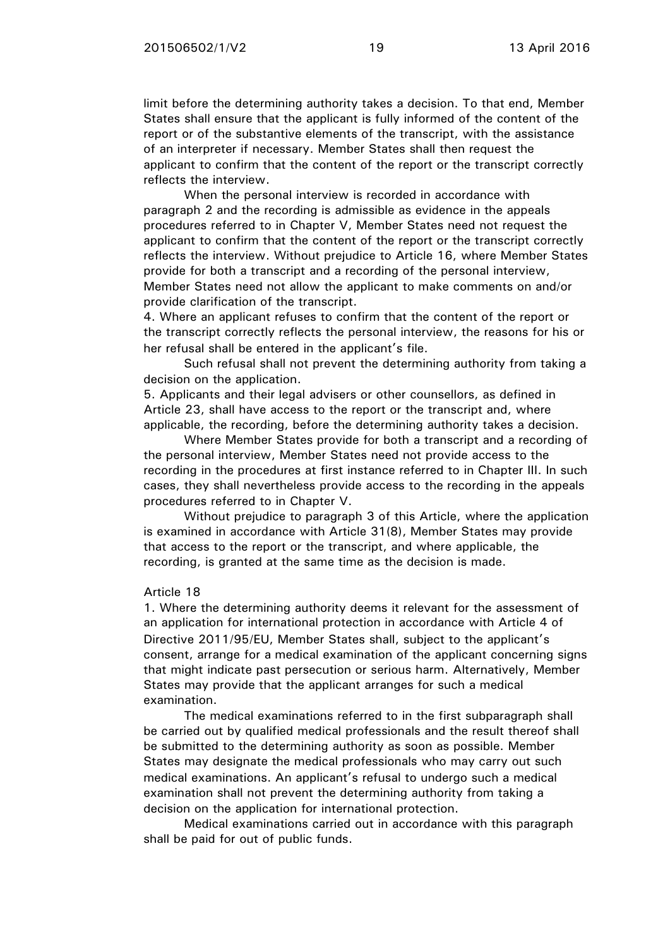limit before the determining authority takes a decision. To that end, Member States shall ensure that the applicant is fully informed of the content of the report or of the substantive elements of the transcript, with the assistance of an interpreter if necessary. Member States shall then request the applicant to confirm that the content of the report or the transcript correctly reflects the interview.

When the personal interview is recorded in accordance with paragraph 2 and the recording is admissible as evidence in the appeals procedures referred to in Chapter V, Member States need not request the applicant to confirm that the content of the report or the transcript correctly reflects the interview. Without prejudice to Article 16, where Member States provide for both a transcript and a recording of the personal interview, Member States need not allow the applicant to make comments on and/or provide clarification of the transcript.

4. Where an applicant refuses to confirm that the content of the report or the transcript correctly reflects the personal interview, the reasons for his or her refusal shall be entered in the applicant's file.

Such refusal shall not prevent the determining authority from taking a decision on the application.

5. Applicants and their legal advisers or other counsellors, as defined in Article 23, shall have access to the report or the transcript and, where applicable, the recording, before the determining authority takes a decision.

Where Member States provide for both a transcript and a recording of the personal interview, Member States need not provide access to the recording in the procedures at first instance referred to in Chapter III. In such cases, they shall nevertheless provide access to the recording in the appeals procedures referred to in Chapter V.

Without prejudice to paragraph 3 of this Article, where the application is examined in accordance with Article 31(8), Member States may provide that access to the report or the transcript, and where applicable, the recording, is granted at the same time as the decision is made.

#### Article 18

1. Where the determining authority deems it relevant for the assessment of an application for international protection in accordance with Article 4 of Directive 2011/95/EU, Member States shall, subject to the applicant's consent, arrange for a medical examination of the applicant concerning signs that might indicate past persecution or serious harm. Alternatively, Member States may provide that the applicant arranges for such a medical examination.

The medical examinations referred to in the first subparagraph shall be carried out by qualified medical professionals and the result thereof shall be submitted to the determining authority as soon as possible. Member States may designate the medical professionals who may carry out such medical examinations. An applicant's refusal to undergo such a medical examination shall not prevent the determining authority from taking a decision on the application for international protection.

Medical examinations carried out in accordance with this paragraph shall be paid for out of public funds.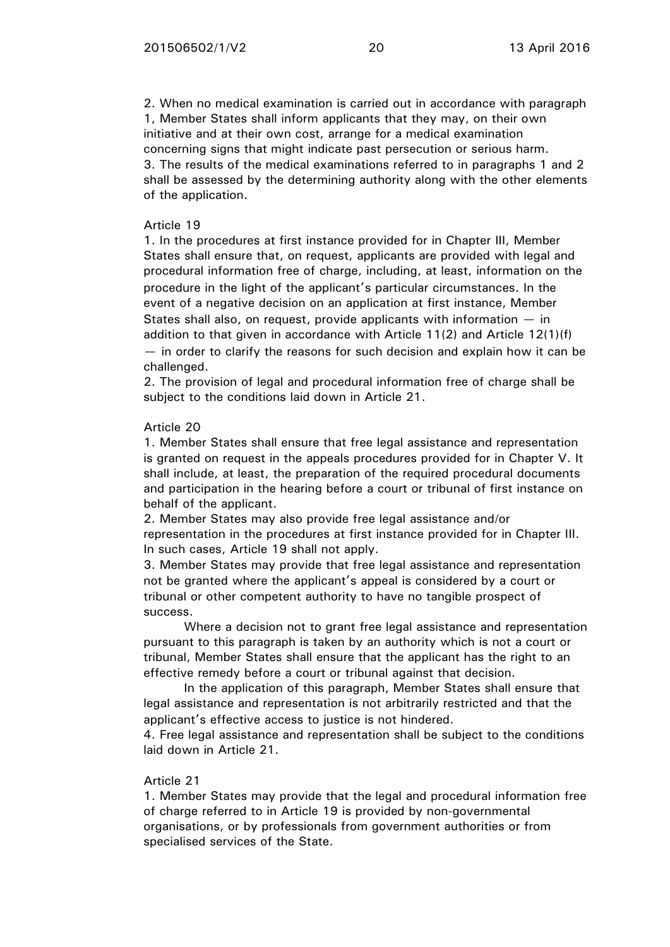2. When no medical examination is carried out in accordance with paragraph 1, Member States shall inform applicants that they may, on their own initiative and at their own cost, arrange for a medical examination concerning signs that might indicate past persecution or serious harm. 3. The results of the medical examinations referred to in paragraphs 1 and 2 shall be assessed by the determining authority along with the other elements of the application.

#### Article 19

1. In the procedures at first instance provided for in Chapter III, Member States shall ensure that, on request, applicants are provided with legal and procedural information free of charge, including, at least, information on the procedure in the light of the applicant's particular circumstances. In the event of a negative decision on an application at first instance, Member States shall also, on request, provide applicants with information — in addition to that given in accordance with Article 11(2) and Article 12(1)(f) — in order to clarify the reasons for such decision and explain how it can be challenged.

2. The provision of legal and procedural information free of charge shall be subject to the conditions laid down in Article 21.

#### Article 20

1. Member States shall ensure that free legal assistance and representation is granted on request in the appeals procedures provided for in Chapter V. It shall include, at least, the preparation of the required procedural documents and participation in the hearing before a court or tribunal of first instance on behalf of the applicant.

2. Member States may also provide free legal assistance and/or representation in the procedures at first instance provided for in Chapter III. In such cases, Article 19 shall not apply.

3. Member States may provide that free legal assistance and representation not be granted where the applicant's appeal is considered by a court or tribunal or other competent authority to have no tangible prospect of success.

Where a decision not to grant free legal assistance and representation pursuant to this paragraph is taken by an authority which is not a court or tribunal, Member States shall ensure that the applicant has the right to an effective remedy before a court or tribunal against that decision.

In the application of this paragraph, Member States shall ensure that legal assistance and representation is not arbitrarily restricted and that the applicant's effective access to justice is not hindered.

4. Free legal assistance and representation shall be subject to the conditions laid down in Article 21.

## Article 21

1. Member States may provide that the legal and procedural information free of charge referred to in Article 19 is provided by non-governmental organisations, or by professionals from government authorities or from specialised services of the State.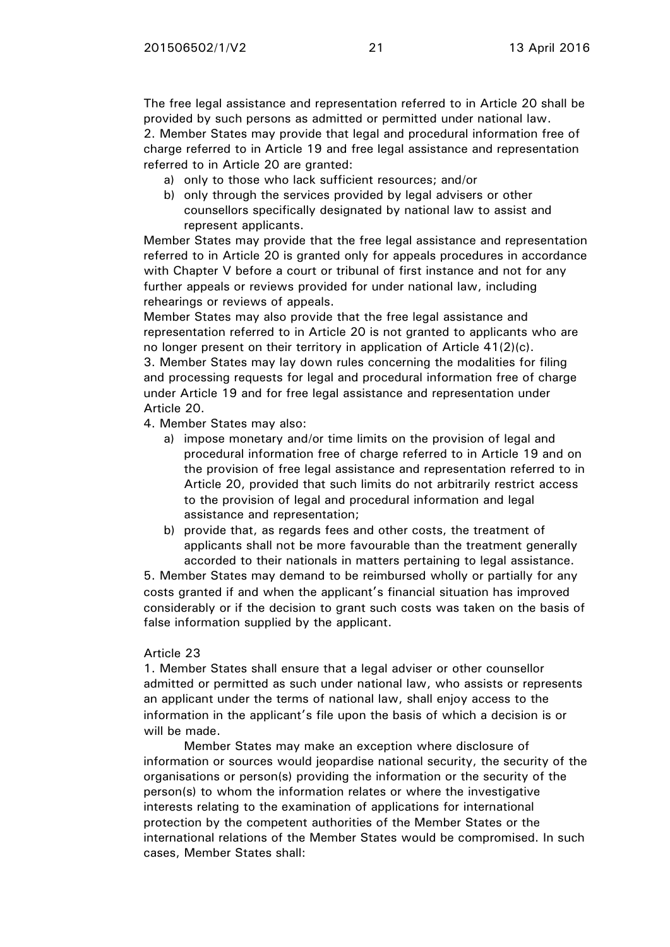The free legal assistance and representation referred to in Article 20 shall be provided by such persons as admitted or permitted under national law. 2. Member States may provide that legal and procedural information free of charge referred to in Article 19 and free legal assistance and representation referred to in Article 20 are granted:

- a) only to those who lack sufficient resources; and/or
- b) only through the services provided by legal advisers or other counsellors specifically designated by national law to assist and represent applicants.

Member States may provide that the free legal assistance and representation referred to in Article 20 is granted only for appeals procedures in accordance with Chapter V before a court or tribunal of first instance and not for any further appeals or reviews provided for under national law, including rehearings or reviews of appeals.

Member States may also provide that the free legal assistance and representation referred to in Article 20 is not granted to applicants who are no longer present on their territory in application of Article 41(2)(c).

3. Member States may lay down rules concerning the modalities for filing and processing requests for legal and procedural information free of charge under Article 19 and for free legal assistance and representation under Article 20.

- 4. Member States may also:
	- a) impose monetary and/or time limits on the provision of legal and procedural information free of charge referred to in Article 19 and on the provision of free legal assistance and representation referred to in Article 20, provided that such limits do not arbitrarily restrict access to the provision of legal and procedural information and legal assistance and representation;
	- b) provide that, as regards fees and other costs, the treatment of applicants shall not be more favourable than the treatment generally accorded to their nationals in matters pertaining to legal assistance.

5. Member States may demand to be reimbursed wholly or partially for any costs granted if and when the applicant's financial situation has improved considerably or if the decision to grant such costs was taken on the basis of false information supplied by the applicant.

## Article 23

1. Member States shall ensure that a legal adviser or other counsellor admitted or permitted as such under national law, who assists or represents an applicant under the terms of national law, shall enjoy access to the information in the applicant's file upon the basis of which a decision is or will be made.

Member States may make an exception where disclosure of information or sources would jeopardise national security, the security of the organisations or person(s) providing the information or the security of the person(s) to whom the information relates or where the investigative interests relating to the examination of applications for international protection by the competent authorities of the Member States or the international relations of the Member States would be compromised. In such cases, Member States shall: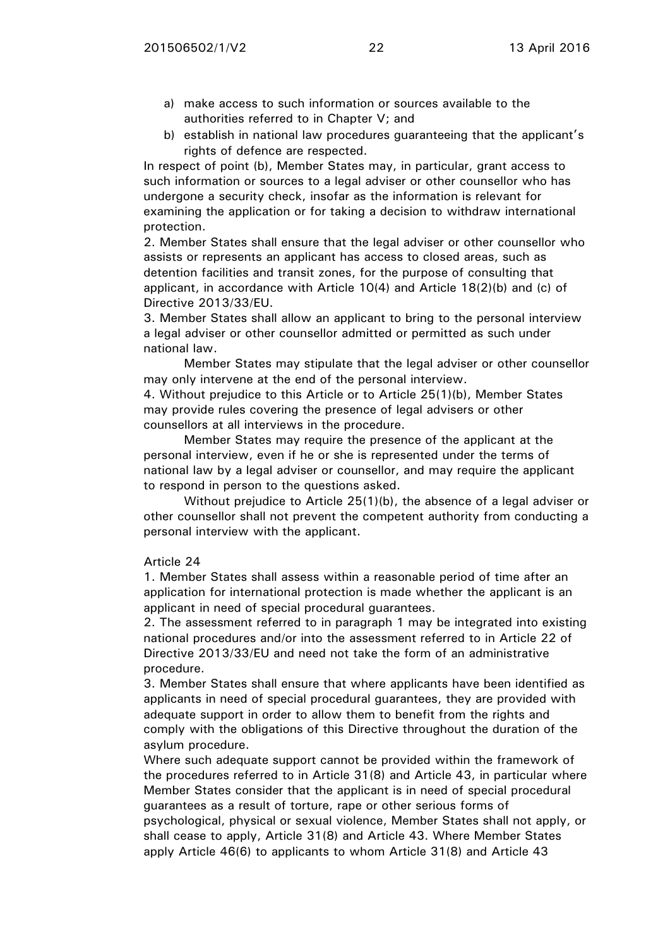- a) make access to such information or sources available to the authorities referred to in Chapter V; and
- b) establish in national law procedures guaranteeing that the applicant's rights of defence are respected.

In respect of point (b), Member States may, in particular, grant access to such information or sources to a legal adviser or other counsellor who has undergone a security check, insofar as the information is relevant for examining the application or for taking a decision to withdraw international protection.

2. Member States shall ensure that the legal adviser or other counsellor who assists or represents an applicant has access to closed areas, such as detention facilities and transit zones, for the purpose of consulting that applicant, in accordance with Article 10(4) and Article 18(2)(b) and (c) of Directive 2013/33/EU.

3. Member States shall allow an applicant to bring to the personal interview a legal adviser or other counsellor admitted or permitted as such under national law.

Member States may stipulate that the legal adviser or other counsellor may only intervene at the end of the personal interview.

4. Without prejudice to this Article or to Article 25(1)(b), Member States may provide rules covering the presence of legal advisers or other counsellors at all interviews in the procedure.

Member States may require the presence of the applicant at the personal interview, even if he or she is represented under the terms of national law by a legal adviser or counsellor, and may require the applicant to respond in person to the questions asked.

Without prejudice to Article 25(1)(b), the absence of a legal adviser or other counsellor shall not prevent the competent authority from conducting a personal interview with the applicant.

#### Article 24

1. Member States shall assess within a reasonable period of time after an application for international protection is made whether the applicant is an applicant in need of special procedural guarantees.

2. The assessment referred to in paragraph 1 may be integrated into existing national procedures and/or into the assessment referred to in Article 22 of Directive 2013/33/EU and need not take the form of an administrative procedure.

3. Member States shall ensure that where applicants have been identified as applicants in need of special procedural guarantees, they are provided with adequate support in order to allow them to benefit from the rights and comply with the obligations of this Directive throughout the duration of the asylum procedure.

Where such adequate support cannot be provided within the framework of the procedures referred to in Article 31(8) and Article 43, in particular where Member States consider that the applicant is in need of special procedural guarantees as a result of torture, rape or other serious forms of psychological, physical or sexual violence, Member States shall not apply, or shall cease to apply, Article 31(8) and Article 43. Where Member States apply Article 46(6) to applicants to whom Article 31(8) and Article 43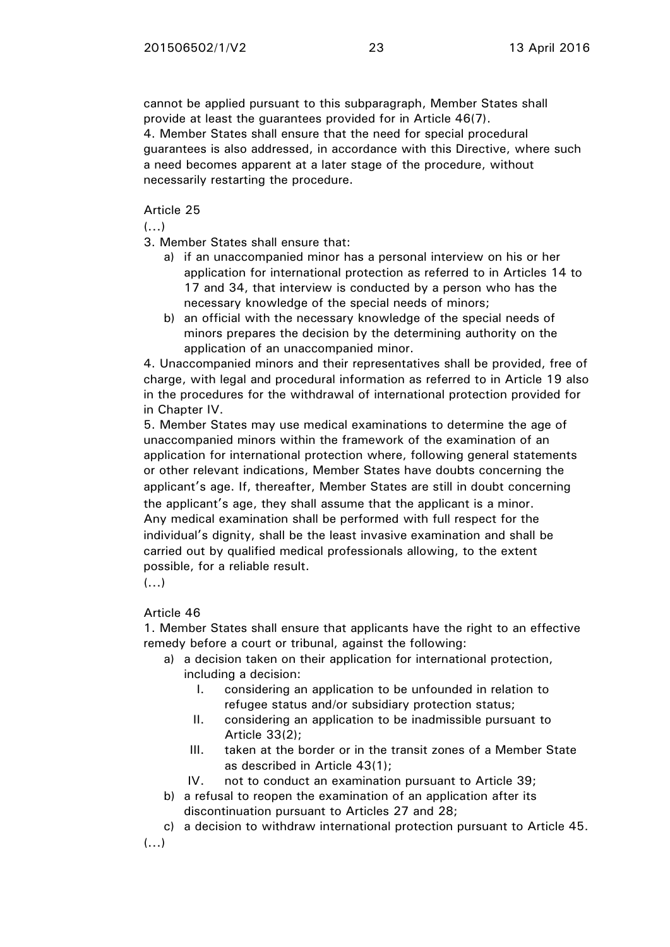cannot be applied pursuant to this subparagraph, Member States shall provide at least the guarantees provided for in Article 46(7). 4. Member States shall ensure that the need for special procedural guarantees is also addressed, in accordance with this Directive, where such a need becomes apparent at a later stage of the procedure, without necessarily restarting the procedure.

## Article 25

 $($ ... $)$ 

3. Member States shall ensure that:

- a) if an unaccompanied minor has a personal interview on his or her application for international protection as referred to in Articles 14 to 17 and 34, that interview is conducted by a person who has the necessary knowledge of the special needs of minors;
- b) an official with the necessary knowledge of the special needs of minors prepares the decision by the determining authority on the application of an unaccompanied minor.

4. Unaccompanied minors and their representatives shall be provided, free of charge, with legal and procedural information as referred to in Article 19 also in the procedures for the withdrawal of international protection provided for in Chapter IV.

5. Member States may use medical examinations to determine the age of unaccompanied minors within the framework of the examination of an application for international protection where, following general statements or other relevant indications, Member States have doubts concerning the applicant's age. If, thereafter, Member States are still in doubt concerning the applicant's age, they shall assume that the applicant is a minor. Any medical examination shall be performed with full respect for the individual's dignity, shall be the least invasive examination and shall be carried out by qualified medical professionals allowing, to the extent possible, for a reliable result.

 $(\ldots)$ 

# Article 46

1. Member States shall ensure that applicants have the right to an effective remedy before a court or tribunal, against the following:

- a) a decision taken on their application for international protection, including a decision:
	- I. considering an application to be unfounded in relation to refugee status and/or subsidiary protection status;
	- II. considering an application to be inadmissible pursuant to Article 33(2);
	- III. taken at the border or in the transit zones of a Member State as described in Article 43(1);
	- IV. not to conduct an examination pursuant to Article 39;
- b) a refusal to reopen the examination of an application after its discontinuation pursuant to Articles 27 and 28;

c) a decision to withdraw international protection pursuant to Article 45.  $($ ... $)$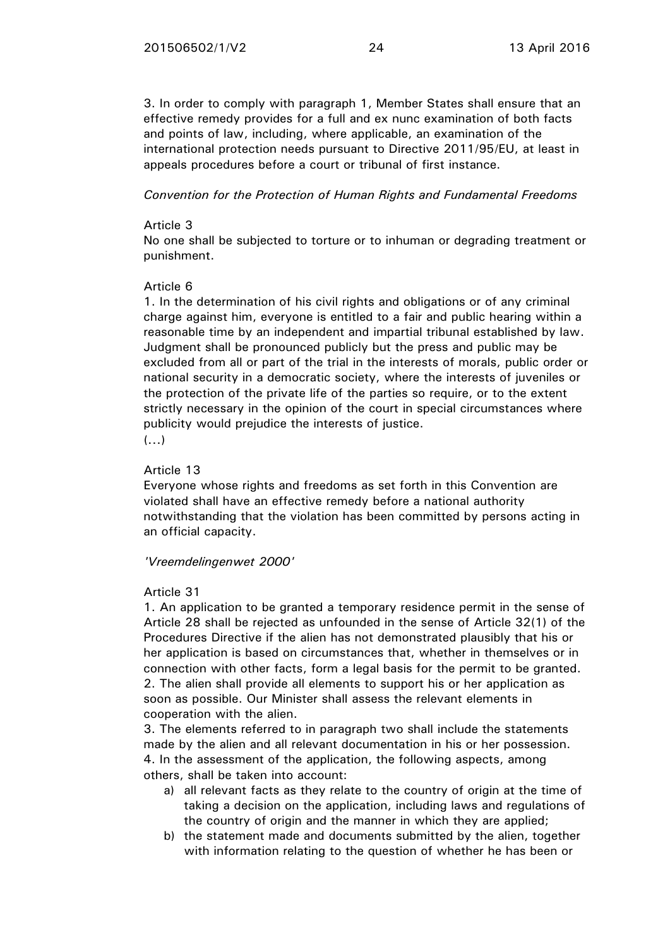3. In order to comply with paragraph 1, Member States shall ensure that an effective remedy provides for a full and ex nunc examination of both facts and points of law, including, where applicable, an examination of the international protection needs pursuant to Directive 2011/95/EU, at least in appeals procedures before a court or tribunal of first instance.

*Convention for the Protection of Human Rights and Fundamental Freedoms*

## Article 3

No one shall be subjected to torture or to inhuman or degrading treatment or punishment.

# Article 6

1. In the determination of his civil rights and obligations or of any criminal charge against him, everyone is entitled to a fair and public hearing within a reasonable time by an independent and impartial tribunal established by law. Judgment shall be pronounced publicly but the press and public may be excluded from all or part of the trial in the interests of morals, public order or national security in a democratic society, where the interests of juveniles or the protection of the private life of the parties so require, or to the extent strictly necessary in the opinion of the court in special circumstances where publicity would prejudice the interests of justice.

 $(\ldots)$ 

## Article 13

Everyone whose rights and freedoms as set forth in this Convention are violated shall have an effective remedy before a national authority notwithstanding that the violation has been committed by persons acting in an official capacity.

## *'Vreemdelingenwet 2000'*

## Article 31

1. An application to be granted a temporary residence permit in the sense of Article 28 shall be rejected as unfounded in the sense of Article 32(1) of the Procedures Directive if the alien has not demonstrated plausibly that his or her application is based on circumstances that, whether in themselves or in connection with other facts, form a legal basis for the permit to be granted. 2. The alien shall provide all elements to support his or her application as soon as possible. Our Minister shall assess the relevant elements in cooperation with the alien.

3. The elements referred to in paragraph two shall include the statements made by the alien and all relevant documentation in his or her possession. 4. In the assessment of the application, the following aspects, among others, shall be taken into account:

- a) all relevant facts as they relate to the country of origin at the time of taking a decision on the application, including laws and regulations of the country of origin and the manner in which they are applied;
- b) the statement made and documents submitted by the alien, together with information relating to the question of whether he has been or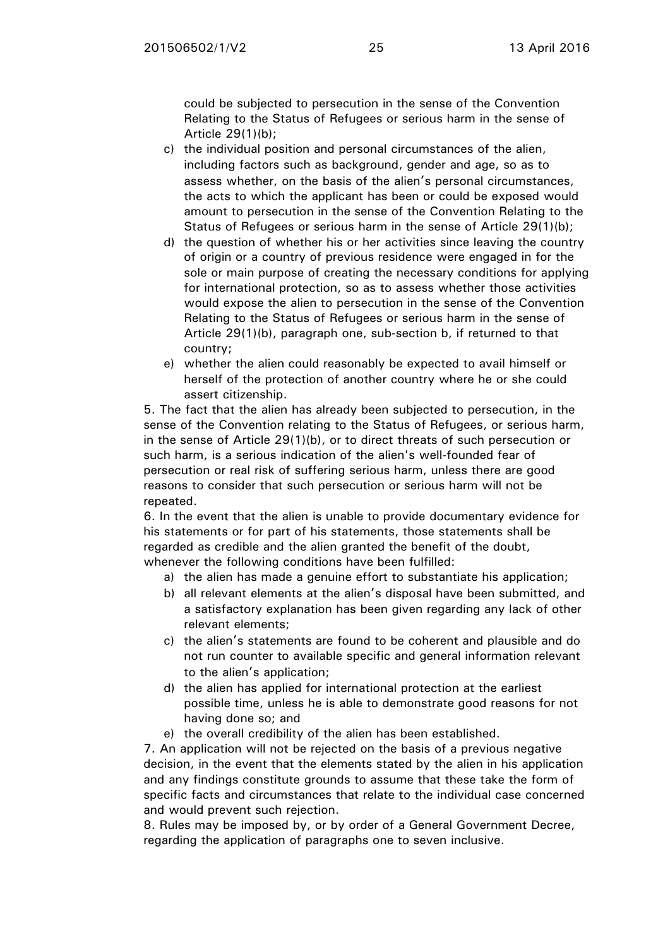could be subjected to persecution in the sense of the Convention Relating to the Status of Refugees or serious harm in the sense of Article 29(1)(b);

- c) the individual position and personal circumstances of the alien, including factors such as background, gender and age, so as to assess whether, on the basis of the alien's personal circumstances, the acts to which the applicant has been or could be exposed would amount to persecution in the sense of the Convention Relating to the Status of Refugees or serious harm in the sense of Article 29(1)(b);
- d) the question of whether his or her activities since leaving the country of origin or a country of previous residence were engaged in for the sole or main purpose of creating the necessary conditions for applying for international protection, so as to assess whether those activities would expose the alien to persecution in the sense of the Convention Relating to the Status of Refugees or serious harm in the sense of Article 29(1)(b), paragraph one, sub-section b, if returned to that country;
- e) whether the alien could reasonably be expected to avail himself or herself of the protection of another country where he or she could assert citizenship.

5. The fact that the alien has already been subjected to persecution, in the sense of the Convention relating to the Status of Refugees, or serious harm, in the sense of Article 29(1)(b), or to direct threats of such persecution or such harm, is a serious indication of the alien's well-founded fear of persecution or real risk of suffering serious harm, unless there are good reasons to consider that such persecution or serious harm will not be repeated.

6. In the event that the alien is unable to provide documentary evidence for his statements or for part of his statements, those statements shall be regarded as credible and the alien granted the benefit of the doubt, whenever the following conditions have been fulfilled:

- a) the alien has made a genuine effort to substantiate his application;
- b) all relevant elements at the alien's disposal have been submitted, and a satisfactory explanation has been given regarding any lack of other relevant elements;
- c) the alien's statements are found to be coherent and plausible and do not run counter to available specific and general information relevant to the alien's application;
- d) the alien has applied for international protection at the earliest possible time, unless he is able to demonstrate good reasons for not having done so; and
- e) the overall credibility of the alien has been established.

7. An application will not be rejected on the basis of a previous negative decision, in the event that the elements stated by the alien in his application and any findings constitute grounds to assume that these take the form of specific facts and circumstances that relate to the individual case concerned and would prevent such rejection.

8. Rules may be imposed by, or by order of a General Government Decree, regarding the application of paragraphs one to seven inclusive.